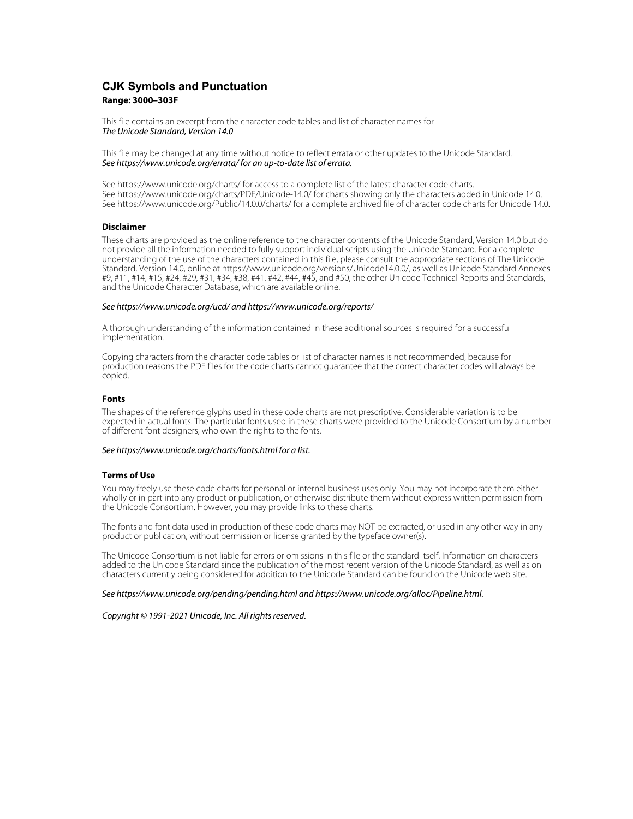# **CJK Symbols and Punctuation Range: 3000–303F**

This file contains an excerpt from the character code tables and list of character names for The Unicode Standard, Version 14.0

This file may be changed at any time without notice to reflect errata or other updates to the Unicode Standard. See https://www.unicode.org/errata/ for an up-to-date list of errata.

See https://www.unicode.org/charts/ for access to a complete list of the latest character code charts. See https://www.unicode.org/charts/PDF/Unicode-14.0/ for charts showing only the characters added in Unicode 14.0. See https://www.unicode.org/Public/14.0.0/charts/ for a complete archived file of character code charts for Unicode 14.0.

#### **Disclaimer**

These charts are provided as the online reference to the character contents of the Unicode Standard, Version 14.0 but do not provide all the information needed to fully support individual scripts using the Unicode Standard. For a complete understanding of the use of the characters contained in this file, please consult the appropriate sections of The Unicode Standard, Version 14.0, online at https://www.unicode.org/versions/Unicode14.0.0/, as well as Unicode Standard Annexes #9, #11, #14, #15, #24, #29, #31, #34, #38, #41, #42, #44, #45, and #50, the other Unicode Technical Reports and Standards, and the Unicode Character Database, which are available online.

#### See https://www.unicode.org/ucd/ and https://www.unicode.org/reports/

A thorough understanding of the information contained in these additional sources is required for a successful implementation.

Copying characters from the character code tables or list of character names is not recommended, because for production reasons the PDF files for the code charts cannot guarantee that the correct character codes will always be copied.

#### **Fonts**

The shapes of the reference glyphs used in these code charts are not prescriptive. Considerable variation is to be expected in actual fonts. The particular fonts used in these charts were provided to the Unicode Consortium by a number of different font designers, who own the rights to the fonts.

#### See https://www.unicode.org/charts/fonts.html for a list.

#### **Terms of Use**

You may freely use these code charts for personal or internal business uses only. You may not incorporate them either wholly or in part into any product or publication, or otherwise distribute them without express written permission from the Unicode Consortium. However, you may provide links to these charts.

The fonts and font data used in production of these code charts may NOT be extracted, or used in any other way in any product or publication, without permission or license granted by the typeface owner(s).

The Unicode Consortium is not liable for errors or omissions in this file or the standard itself. Information on characters added to the Unicode Standard since the publication of the most recent version of the Unicode Standard, as well as on characters currently being considered for addition to the Unicode Standard can be found on the Unicode web site.

#### See https://www.unicode.org/pending/pending.html and https://www.unicode.org/alloc/Pipeline.html.

Copyright © 1991-2021 Unicode, Inc. All rights reserved.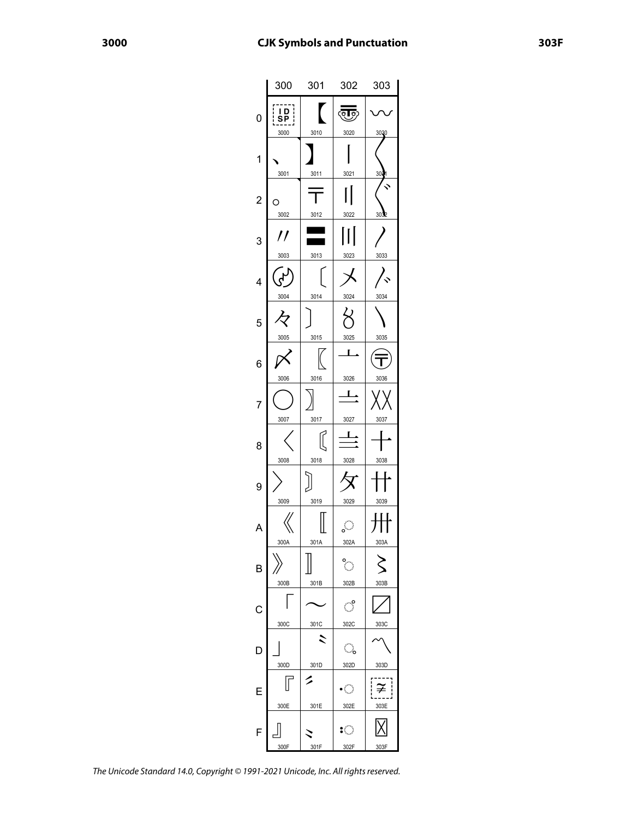|                | 300                                             | 301                  | 302                                 | 303                             |
|----------------|-------------------------------------------------|----------------------|-------------------------------------|---------------------------------|
| 0              | $\frac{1}{1}$<br>  D  <br>SP  <br>-----<br>3000 | $\mathbf{r}$<br>3010 | लाल<br>3020                         | 3030                            |
| 1              | 3001                                            | 3011                 | 3021                                | 30 <sub>3</sub>                 |
| $\overline{c}$ | 3002                                            | 3012                 | 3022                                | 3032                            |
| 3              | //<br>3003                                      | 3013                 | 3023                                | 3033                            |
| 4              | 3004                                            | 3014                 | 3024                                | 3034                            |
| 5              | 々<br>3005                                       | 3015                 | 3025                                | 3035                            |
| 6              | 3006                                            | 3016                 | L<br>3026                           | 3036                            |
| 7              | 3007                                            | 3017                 | L<br>3027                           | 3037                            |
| 8              | 3008                                            | 3018                 | $\frac{1}{4}$<br>3028               | 3038                            |
| 9              | 3009                                            | 3019                 | 3029                                | 3039                            |
| A              | 300A                                            | 301A                 | ૢૺ<br>302A                          | 303A                            |
| B              | 300B                                            | 301B                 | $\ddot{\phantom{a}}$<br>302B        | 303B                            |
| $\mathsf{C}$   | 300C                                            | 301C                 | ੰ<br>302C                           | 303C                            |
| D              | 300D                                            | 301D                 | ू<br>302D                           | 303D                            |
| E              | 300E                                            | 301E                 | $\mathcal{L}_{\mathcal{A}}$<br>302E | $\widetilde{\neq}$<br>ļ<br>303E |
| F              | 300F                                            | 301F                 | $\mathbb{C}$<br>302F                | 303F                            |

The Unicode Standard 14.0, Copyright © 1991-2021 Unicode, Inc. All rights reserved.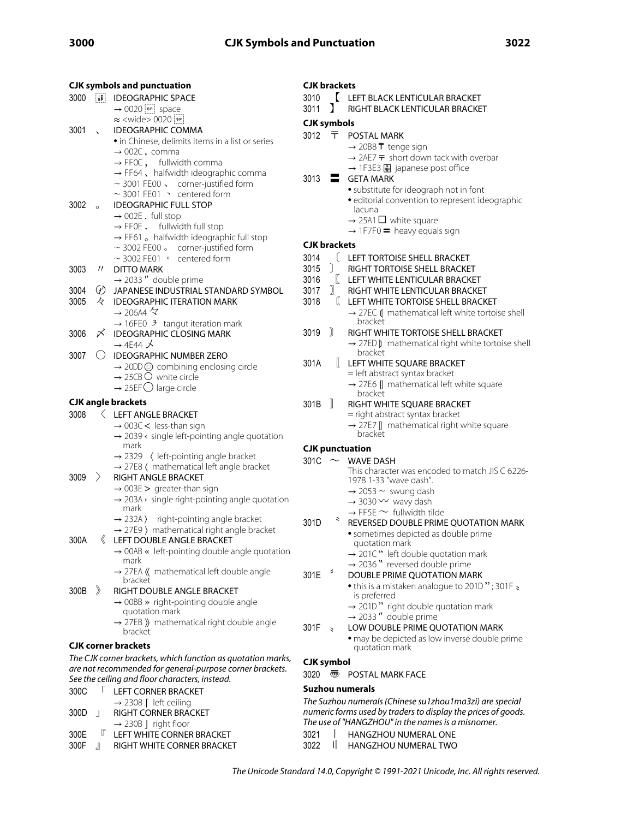| <b>CJK symbols and punctuation</b> |                                     |                                                                                       |                     | <b>CJK brackets</b>                             |                                                                                       |  |
|------------------------------------|-------------------------------------|---------------------------------------------------------------------------------------|---------------------|-------------------------------------------------|---------------------------------------------------------------------------------------|--|
| 3000                               | $\frac{1}{5}$                       | <b>IDEOGRAPHIC SPACE</b>                                                              | 3010                |                                                 | LEFT BLACK LENTICULAR BRACKET                                                         |  |
|                                    |                                     | $\rightarrow$ 0020 $\boxed{\phantom{0}$ space                                         | 3011                | 1                                               | RIGHT BLACK LENTICULAR BRACKET                                                        |  |
|                                    |                                     | $\approx$ <wide> 0020  sr</wide>                                                      | <b>CJK</b> symbols  |                                                 |                                                                                       |  |
| 3001                               | $\overline{ }$                      | <b>IDEOGRAPHIC COMMA</b>                                                              | 3012 〒              |                                                 |                                                                                       |  |
|                                    |                                     | • in Chinese, delimits items in a list or series                                      |                     |                                                 | POSTAL MARK                                                                           |  |
|                                    |                                     | $\rightarrow$ 002C, comma                                                             |                     |                                                 | $\rightarrow$ 20B8 T tenge sign<br>$\rightarrow$ 2AE7 $\pm$ short down tack with over |  |
|                                    |                                     | $\rightarrow$ FFOC, fullwidth comma                                                   |                     |                                                 | → 1F3E3 A japanese post office                                                        |  |
|                                    |                                     | $\rightarrow$ FF64, halfwidth ideographic comma                                       | 3013                | Ξ.                                              | <b>GETA MARK</b>                                                                      |  |
|                                    |                                     | $\sim$ 3001 FE00 $\sqrt{ }$ corner-justified form                                     |                     |                                                 | • substitute for ideograph not in font                                                |  |
|                                    |                                     | $\sim$ 3001 FE01 $\rightarrow$ centered form                                          |                     |                                                 | · editorial convention to represent ide                                               |  |
| 3002                               | $\circ$                             | <b>IDEOGRAPHIC FULL STOP</b>                                                          |                     |                                                 | lacuna                                                                                |  |
|                                    |                                     | $\rightarrow$ 002E . full stop                                                        |                     |                                                 | $\rightarrow$ 25A1 $\Box$ white square                                                |  |
|                                    |                                     | $\rightarrow$ FF0E. fullwidth full stop                                               |                     |                                                 | $\rightarrow$ 1F7F0 = heavy equals sign                                               |  |
|                                    |                                     | $\rightarrow$ FF61 $\circ$ halfwidth ideographic full stop                            | <b>CJK brackets</b> |                                                 |                                                                                       |  |
|                                    |                                     | $\sim$ 3002 FE00 $\,$ corner-justified form<br>$\sim$ 3002 FE01 $\circ$ centered form | 3014                |                                                 | LEFT TORTOISE SHELL BRACKET                                                           |  |
| 3003                               | $^{\prime\prime}$                   | <b>DITTO MARK</b>                                                                     | 3015                | $\cdot$                                         | RIGHT TORTOISE SHELL BRACKET                                                          |  |
|                                    |                                     | $\rightarrow$ 2033" double prime                                                      | 3016                |                                                 | $\ll$ LEFT WHITE LENTICULAR BRACKET                                                   |  |
| 3004                               | ⊛                                   | JAPANESE INDUSTRIAL STANDARD SYMBOL                                                   | 3017                | $\lambda$                                       | RIGHT WHITE LENTICULAR BRACKET                                                        |  |
| 3005                               | k,                                  | <b>IDEOGRAPHIC ITERATION MARK</b>                                                     | 3018                |                                                 | LEFT WHITE TORTOISE SHELL BRACK                                                       |  |
|                                    |                                     | $\rightarrow$ 206A4 $\overline{\leftarrow}$                                           |                     |                                                 | $\rightarrow$ 27EC ( mathematical left white tor                                      |  |
|                                    |                                     | $\rightarrow$ 16FE0 3 tangut iteration mark                                           |                     |                                                 | bracket                                                                               |  |
| 3006                               | 〆                                   | <b>IDEOGRAPHIC CLOSING MARK</b>                                                       | 3019                | Ĵ                                               | RIGHT WHITE TORTOISE SHELL BRAC                                                       |  |
|                                    |                                     | $\rightarrow$ 4E44 $\cancel{\sim}$                                                    |                     |                                                 | $\rightarrow$ 27ED ) mathematical right white to                                      |  |
| 3007                               | ( )                                 | <b>IDEOGRAPHIC NUMBER ZERO</b>                                                        |                     |                                                 | bracket                                                                               |  |
|                                    |                                     | $\rightarrow$ 20DD $\odot$ combining enclosing circle                                 | 301A                | $\mathbb{L}$                                    | LEFT WHITE SQUARE BRACKET                                                             |  |
|                                    |                                     | $\rightarrow$ 25CB $\circ$ white circle                                               |                     |                                                 | = left abstract syntax bracket                                                        |  |
|                                    |                                     | $\rightarrow$ 25EF $\bigcirc$ large circle                                            |                     |                                                 | $\rightarrow$ 27E6 $\llbracket$ mathematical left white square<br>bracket             |  |
| <b>CJK angle brackets</b>          |                                     |                                                                                       | 301B                | $\mathbb{I}$                                    | RIGHT WHITE SQUARE BRACKET                                                            |  |
| 3008                               |                                     | LEFT ANGLE BRACKET                                                                    |                     |                                                 | = right abstract syntax bracket                                                       |  |
|                                    | $\rightarrow$ 003C < less-than sign |                                                                                       |                     | $\rightarrow$ 27E7   mathematical right white s |                                                                                       |  |
|                                    |                                     | $\rightarrow$ 2039 $\leftarrow$ single left-pointing angle quotation                  |                     |                                                 | bracket                                                                               |  |
|                                    |                                     | mark                                                                                  |                     |                                                 | <b>CJK</b> punctuation                                                                |  |
|                                    |                                     | $\rightarrow$ 2329 ( left-pointing angle bracket                                      | 301C $\sim$         |                                                 | WAVE DASH                                                                             |  |
|                                    |                                     | $\rightarrow$ 27E8 ( mathematical left angle bracket                                  |                     |                                                 | This character was encoded to match                                                   |  |
| 3009                               | $\rightarrow$                       | RIGHT ANGLE BRACKET                                                                   |                     |                                                 | 1978 1-33 "wave dash".                                                                |  |
|                                    |                                     | $\rightarrow$ 003E > greater-than sign                                                |                     |                                                 | $\rightarrow$ 2053 ~ swung dash                                                       |  |
|                                    |                                     | $\rightarrow$ 203A $\rightarrow$ single right-pointing angle quotation                |                     |                                                 | $\rightarrow$ 3030 $\sim$ wavy dash                                                   |  |
|                                    |                                     | mark                                                                                  |                     |                                                 | $\rightarrow$ FF5E $\sim$ fullwidth tilde                                             |  |
|                                    |                                     | $\rightarrow$ 232A) right-pointing angle bracket                                      | 301D                | 3                                               | REVERSED DOUBLE PRIME QUOTATI                                                         |  |
|                                    |                                     | $\rightarrow$ 27E9 ) mathematical right angle bracket                                 |                     |                                                 | · sometimes depicted as double prim                                                   |  |
| 300A                               |                                     | LEFT DOUBLE ANGLE BRACKET                                                             |                     |                                                 | quotation mark                                                                        |  |
|                                    |                                     | $\rightarrow$ 00AB « left-pointing double angle quotation<br>mark                     |                     |                                                 | $\rightarrow$ 201C" left double quotation mark                                        |  |
|                                    |                                     | $\rightarrow$ 27EA $\langle\langle$ mathematical left double angle                    |                     | $\tilde{\phantom{a}}$                           | $\rightarrow$ 2036 " reversed double prime                                            |  |
|                                    |                                     | bracket                                                                               | 301E                |                                                 | DOUBLE PRIME QUOTATION MARK                                                           |  |
| 300B                               | $\rightarrow$                       | RIGHT DOUBLE ANGLE BRACKET                                                            |                     |                                                 | • this is a mistaken analogue to 201D'<br>is preferred                                |  |
|                                    |                                     | $\rightarrow$ 00BB » right-pointing double angle                                      |                     |                                                 | $\rightarrow$ 201D" right double quotation mai                                        |  |
|                                    |                                     | quotation mark                                                                        |                     |                                                 | $\rightarrow$ 2033" double prime                                                      |  |
|                                    |                                     | $\rightarrow$ 27EB $\parallel$ mathematical right double angle                        | $301F \approx$      |                                                 | LOW DOUBLE PRIME QUOTATION M                                                          |  |
|                                    |                                     | bracket                                                                               |                     |                                                 | • may be depicted as low inverse dou                                                  |  |
|                                    |                                     | <b>CJK corner brackets</b>                                                            |                     |                                                 | quotation mark                                                                        |  |
|                                    |                                     | The CJK corner brackets, which function as quotation marks,                           | <b>CJK</b> symbol   |                                                 |                                                                                       |  |
|                                    |                                     | are not recommended for general-purpose corner brackets.                              | 3020                | ☜                                               | POSTAL MARK FACE                                                                      |  |
|                                    |                                     | See the ceiling and floor characters, instead.                                        |                     |                                                 |                                                                                       |  |
| 300C                               | $\mathbf{L}$                        | LEFT CORNER BRACKET                                                                   |                     |                                                 | Suzhou numerals                                                                       |  |
|                                    |                                     | → 2308 [ left ceiling                                                                 |                     |                                                 | The Suzhou numerals (Chinese su1zhou1ma3zi) a                                         |  |
| 300D                               | $\mathbf{I}$                        | RIGHT CORNER BRACKET                                                                  |                     |                                                 | numeric forms used by traders to display the prices                                   |  |
|                                    |                                     | $\rightarrow$ 230B   right floor                                                      |                     |                                                 | The use of "HANGZHOU" in the names is a misnom                                        |  |
| 300E                               | r                                   | LEFT WHITE CORNER BRACKET                                                             | 3021                |                                                 | HANGZHOU NUMERAL ONE                                                                  |  |

# 300F 』 RIGHT WHITE CORNER BRACKET

MARK tenge sign  $\bar{\tau}$  short down tack with overbar ■ japanese post office

- ate for ideograph not in font
- I convention to represent ideographic
- $\Box$  white square
- $=$  heavy equals sign
- **RTOISE SHELL BRACKET DRTOISE SHELL BRACKET IITE LENTICULAR BRACKET HITE LENTICULAR BRACKET**
- **IITE TORTOISE SHELL BRACKET** 
	- mathematical left white tortoise shell

# **HITE TORTOISE SHELL BRACKET**

- mathematical right white tortoise shell bracket
- **IITE SQUARE BRACKET** stract syntax bracket
	- mathematical left white square

# **HITE SQUARE BRACKET**

- ostract syntax bracket
- mathematical right white square  $\rm \bar{t}$
- ASH acter was encoded to match JIS C 6226-3 "wave dash". ~ swung dash
	- $\sim$  wavy dash
	- $\sim$  fullwidth tilde
	- ID DOUBLE PRIME QUOTATION MARK
		- mes depicted as double prime on mark
			- left double quotation mark

#### reversed double prime PRIME QUOTATION MARK

- mistaken analogue to 201D "; 301F  $\ge$  rred
- right double quotation mark double prime
- UBLE PRIME QUOTATION MARK
	- depicted as low inverse double prime on mark
- **MARK FACE**

(Chinese su1zhou1ma3zi) are special by traders to display the prices of goods.  $DU$ " in the names is a misnomer.

- 3021 | HANGZHOU NUMERAL ONE<br>3022 | HANGZHOU NUMERAL TWO
- $1$  HANGZHOU NUMERAL TWO
- The Unicode Standard 14.0, Copyright © 1991-2021 Unicode, Inc. All rights reserved.